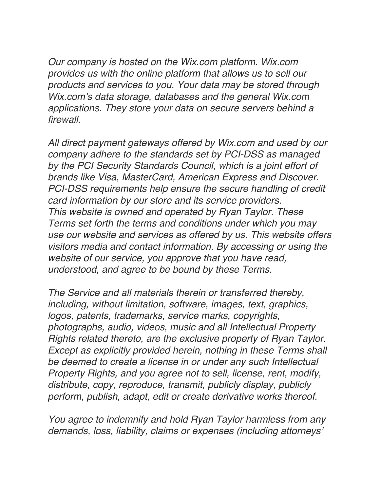*Our company is hosted on the Wix.com platform. Wix.com provides us with the online platform that allows us to sell our products and services to you. Your data may be stored through Wix.com's data storage, databases and the general Wix.com applications. They store your data on secure servers behind a firewall.*

*All direct payment gateways offered by Wix.com and used by our company adhere to the standards set by PCI-DSS as managed by the PCI Security Standards Council, which is a joint effort of brands like Visa, MasterCard, American Express and Discover. PCI-DSS requirements help ensure the secure handling of credit card information by our store and its service providers. This website is owned and operated by Ryan Taylor. These Terms set forth the terms and conditions under which you may use our website and services as offered by us. This website offers visitors media and contact information. By accessing or using the website of our service, you approve that you have read, understood, and agree to be bound by these Terms.*

*The Service and all materials therein or transferred thereby, including, without limitation, software, images, text, graphics, logos, patents, trademarks, service marks, copyrights, photographs, audio, videos, music and all Intellectual Property Rights related thereto, are the exclusive property of Ryan Taylor. Except as explicitly provided herein, nothing in these Terms shall be deemed to create a license in or under any such Intellectual Property Rights, and you agree not to sell, license, rent, modify, distribute, copy, reproduce, transmit, publicly display, publicly perform, publish, adapt, edit or create derivative works thereof.*

*You agree to indemnify and hold Ryan Taylor harmless from any demands, loss, liability, claims or expenses (including attorneys'*